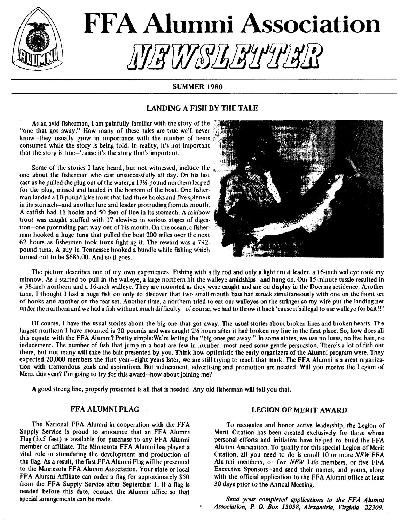

# **FFA Alumni Association** !!!*iY!#\\IY\&JL\B\L'Y\B\L*?

# SUMMER 1980

# LANDING A FISH BY THE TALE

As an avid fisherman, I am painfully familiar with the story of the  $\frac{3}{2}$ "one that got away." How many of these tales are true we'll never know-they usually grow in importance with the number of beers consumed while the story is being told. In reality, it's not important that the story is true-'cause it's the story that's important.

Some of the stories I have heard, but not witnessed, include the one about the fisherman who cast unsuccessfully all day. On his last cast as he pulled the plug out of the water, a 13½-pound northern leaped for the plug, missed and landed in the bottom of the boat. One fisherman landed a 10-pound lake trout that had three hooks and five spinners in its stomach-and another lure and leader protruding from its mouth. A catfish had 11 hooks and 50 feet of line in its stomach. A rainbow trout was caught stuffed with 17 alewives in various stages of digestion-one protruding part way out of his mouth. On the ocean, a fisherman hooked a huge tuna that pulled the boat 200 miles over the next 62 hours as fishermen took turns fighting it. The reward was a 792. pound tuna. A guy in Tennessee hooked a bundle while fishing which turned out to be \$685.00. And so it goes.



The picture describes one of my own experiences. Fishing with a fly rod and only a light trout leader, a 16-inch walleye took my minnow. As I started to pull in the walleye, a large northern hit the walleye amidships-and hung on. Our 15-minute tussle resulted in a 38-inch northern and a 16-inch walleye. They are mounted as they were caught and are on display in the Doering residence. Another time, I thought I had a huge fish on only to discover that two small-mouth bass had struck simultaneously with one on the front set of hooks and another on the rear set. Another time, a northern tried to eat our waUeyes on the stringer so my wife put the landing net under the northern and we had a fish without much difficulty-of course, we had to throw it back 'cause it's illegal to use walleye for bait!!!

Of course, I have the usual stories about the big one that got away. The usual stories about broken lines and broken hearts. The largest northern I have mounted is 20 pounds and was caught 21/2 hours after it had broken my line in the first place. So, how does all this equate with the FFA Alumni? Pretty simple:We're letting the "big ones get away." In some states, we use no lures, no live bait, no inducement. The number of fish that jump in a boat are few in number- most need some gentle persuasion. There's a lot of fish out there, but not many will take the bait presented by you. Think how optimistic the early organizers of the Alumni program were. They expected 20,000 members the first year-eight years later, we are still trying to reach that mark. The FFA Alumni is a great organization with tremendous goals and aspirations. But inducement, advertising and promotion are needed. Will you receive the Legion of Merit this year? I'm going to try for this award-how about joining me?

A good strong line, properly presented is all that is needed. Any old fisherman wiU tell you that.

#### FFA ALUMNI FLAG

The National FFA Alumni in cooperation with the FFA Supply Service is proud to announce that an FFA Alumni Flag (3x5 feet) is available for purchase to any FFA Alumni member or affdiate. The Minnesota FFA Alumni has played a vital role in stimulating the development and production of the flag. As a result, the first FFA Alumni Flag will be presented to the Minnesota FFA Alumni Association. Your state or local FFA Alumni Affiliate can order a flag for approximately \$50 from the FFA Supply Service after September 1. If a flag is needed before this date, contact the Alumni office so that special arrangements can be made.

## LEGION OF MERIT AWARD

To recognize and honor active leadership, the Legion of Merit Citation has been created exclusively for those whose personal efforts and initiative have helped to build the FFA Alumni Association. To qualify for this special Legion of Merit Citation, all you need to do is enroll 10 or more *NEW* FFA Alumni members, or five *NEW* Life members, or five FFA Executive Sponsors--and send their names, and yours, along with the official application to the FFA Alumni office at least 30 days prior to the Annual Meeting.

*Send your completed applications to the FFA Alumni Association,* P. *0. Box 15058, Alexandria, Virginia 22309.*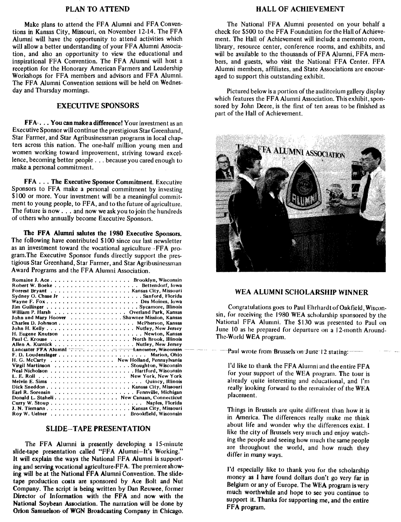#### PLAN TO ATTEND

Make plans to attend the FFA Alumni and FFA Conventions in Kansas City, Missouri, on November 12-14. The FFA Alumni will have the opportunity to attend activities which will allow a better understanding of your FF A Alumni Association, and also an opportunity to view the educational and inspirational FFA Convention. The FFA Alumni will host a reception for the Honorary American Farmers and Leadership Workshops for FFA members and advisors and FFA Alumni. The FFA Alumni Convention sessions will be held on Wednesday and Thursday mornings.

#### EXECUTIVE SPONSORS

FFA... You can make a difference! Your investment as an Executive Sponsor will continue the prestigious Star Greenhand, Star Farmer, and Star Agribusinessman programs in local chapters across this nation. The one-half million young men and women working toward improvement, striving toward excellence, becoming better people ... because you cared enough to make a personal commitment.

FFA . . . The Executive Sponsor Commitment. Executive Sponsors to FFA make a personal commitment by investing \$100 or more. Your investment will be a meaningful commitment to young people, to FFA, and to the future of agriculture. The future is now ... and now we ask you to join the hundreds of others who annually become Executive Sponsors.

The FFA Alumni salutes the 1980 Executive Sponsors. The following have contributed \$100 since our last newsletter as an investment toward the vocational agriculture -FFA program. The Executive Sponsor funds directly support the prestigious Star Greenhand, Star Farmer, and Star Agribusinessman Award Programs and the FFA Alumni Association.

| Romaine J. Ace Brooklyn, Wisconsin           |  |
|----------------------------------------------|--|
|                                              |  |
|                                              |  |
|                                              |  |
| Wayne F. Fox Des Moines, Iowa                |  |
|                                              |  |
| William P. Harsh Overland Park, Kansas       |  |
| John and Mary Hoover Shawnee Mission, Kansas |  |
|                                              |  |
|                                              |  |
|                                              |  |
|                                              |  |
|                                              |  |
| Lancaster FFA Alumni :  Lancaster, Wisconsin |  |
|                                              |  |
| H. G. McCarty New Holland, Pennsylvania      |  |
| Virgil Martinson Stoughton, Wisconsin        |  |
|                                              |  |
|                                              |  |
|                                              |  |
|                                              |  |
|                                              |  |
| Donald L. Staheli. New Canaan, Connecticut   |  |
|                                              |  |
| J. N. Tiemann Kansas City, Missouri          |  |
| Roy W. Uelner Brookfield, Wisconsin          |  |

#### SLIDE-TAPE PRESENTATION

The FFA Alumni is presently developing a JS-minute slide-tape presentation called "FFA Alumni-It's Working." It will explain the ways the National FFA Alumni is supporting and serving vocational agriculture-FFA. The premiere showing will be at the National FFA Alumni Convention. The slidetape production costs are sponsored by Ace Bolt and Nut Company. The script is being written by Dan Reuwee, former Director of Information with the FFA and now with the National Soybean Association. The narration will be done by Orion Samuelson of WGN Broadcasting Company in Chicago.

#### HALL OF ACHIEVEMENT

The National FFA Alumni presented on your behalf a check for \$500 to the FFA Foundation for the Hall of Achievement. The Hall of Achievement will include a memento room, library, resource center, conference rooms, and exhibits, and will be available to the thousands of FFA Alumni, FFA members, and guests, who visit the National FFA Center. FFA Alumni members, affiliates, and State Associations are encouraged to support this outstanding exhibit.

Pictured below is a portion of the auditorium gallery display which features the FFA Alumni Association. This exhibit, sponsored by John Deere, is the first of ten areas to be finished as part of the Hall of Achievement.



# WEA ALUMNI SCHOLARSHIP WINNER

Congratulations goes to Paul Ehrhardt of Oakfield, Wiscon· sin, for receiving the 1980 WEA scholarship sponsored by the National FFA Alumni. The \$130 was presented to Paul on June 10 as he prepared for departure on a 12-month Around-The-World WEA program.

Paul wrote from Brussels on June 12 stating:

I'd like to thank the FFA Alumni and the entire FFA for your support of the WEA program. The tour is already quite interesting and educational, and I'm really looking forward to the remainder of the WEA placement.

Things in Brussels are quite different than how it is in America. The differences really make me think about life and wonder why the differences exist. I like the city of Brussels very much and enjoy watch· ing the people and seeing how much the same people are throughout the world, and how much they differ in many ways.

I'd especially like to thank you for the scholarship money as I have found dollars don't go very far in Belgium or any of Europe. The WEA program is very much worthwhile and hope to see you continue to support it. Thanks for supporting me, and the entire FFA program.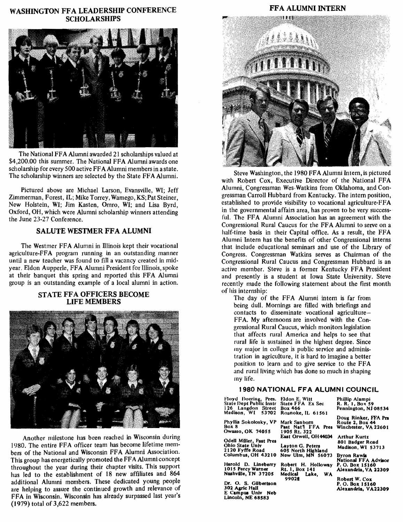# WASHINGTON FFA LEADERSHIP CONFERENCE SCHOLARSHIPS



The National FFA Alumni awarded 21 scholarships valued at \$4,200.00 this summer. The National FFA Alumni awards one scholarship for every 500 active FF A Alumni members in a state. The scholarship winners are selected by the State FFA Alumni.

Pictured above are Michael Larson, Evansville, WI; Jeff Zimmerman, Forest, IL; Mike Torrey, Wamego, KS; Pat Steiner, New Holstein, WI; Jim Kasten, Omro, WI; and Lisa Byrd, Oxford, OH, which were Alumni scholarship winners attending the June 23-27 Conference.

# SALUTE WESTMER FFA ALUMNI

The Westmer FFA Alumni in Illinois kept their vocational agriculture-FFA program running in an outstanding manner until a new teacher was found to fill a vacancy created in mid· year. Eldon Aupperle, FFA Alumni President for Illinois, spoke at their banquet this spring and reported this FFA Alumni group is an outstanding example of a local alumni in action.

### STATE FFA OFFICERS BECOME LIFE MEMBERS



Another milestone has been reached in Wisconsin during 1980. The entire PFA officer team has become lifetime members of the National and Wisconsin FFA Alumni Association. This group has energetically promoted the FF A Alumni concept throughout the year during their chapter visits. This support has led to the establishment of 18 new affiliates and 864 additional Alumni members. These dedicated young people are helping to assure the continued growth and relevance of FFA in Wisconsin. Wisconsin has already surpassed last year's (J 979) total of 3,622 members.

# 東東居留

FFA ALUMNI INTERN

Steve Washington, the 1980 FF A Alumni Intern, is pictured with Robert Cox, Executive Director of the National FFA Alumni, Congressman Wes Watkins from Oklahoma, and Congressman Carroll Hubbard from Kentucky. The intern position, established to provide visibility to vocational agriculture-FF A in the governmental affairs area, has proven to be very successful. The FFA Alumni Association has an agreement with the Congressional Rural Caucus for the FFA Alumni to serve on a half-time basis in their Capital office. As a result, the FFA Alumni Intern has the benefits of other Congressional interns that include educational seminars and use of the Library of Congress. Congressman Watkins serves as Chairman of the Congressional Rural Caucus and Congressman Hubbard is an active member. Steve is a former Kentucky FFA President and presently is a student at Iowa State University. Steve recently made the following statement about the first month of his internship:

The day of the FFA Alumni intern is far from being dull. Mornings are filled with briefings and contacts to disseminate vocational agriculture-FFA. My afternoons are involved with the Congressional Rural Caucus, which monitors legislation that affects rural America and helps to see that rural life is sustained in the highest degree. Since my major in college is public service and administration in agriculture, it is hard to imagine a better position to learn and to give service to the FFA and rural living which has done so much in shaping my life.

#### 1980 NATIONAL FFA ALUMNI COUNCIL

Moyd Doering, Pres. Eldon E. Witt State Dept Public Instr State f'FA Ex Sec State Dept Public Instr State FFA Ex Sec<br>126 Langdon Street Box 466<br>Madison, WI 53702 Roanoke, IL 6156

Phyllis Sokolosky, VP Box 8 Owasso, OK 74055

Odell Miller, Past Pres Ohio State Univ Layton G. Peters<br>2120 Fyffe Road 605 North Highls

Harold D. Lineberry Robert H. Holloway<br>1015 Percy Warner Rt. 1, Box 141<br>Nashville, TN 37205 Medical Lake, WA 1015 Percy Warner Rt. 1, Box 141

Dr. O. S. Gilbertson 302 Agric Hall E Campus Univ Neb<br>Lincoln, NE 68583

Roanoke, IL 61561 Mark Sanborn Route 2, Box 44<br>Past Nat'l FFA Pres Winchester, VA 22601 Past Nat1 FFA Pres Winchester, VA 22601<br>1905 Rt. 322 East Orwell, OH44034 2120 Fyffe Road 605 North Highland mauson, w. Columbus, OH 43210 New Ulm, MN 56073 Byron Rawla

99021 National FFA Advisor P. 0. Box 15160

Robert W. Cox O. Box 15160 Alexandria, VA22309

Alexandria, VA 22309

Phillip Alampi R. R. 1, Box 59<br>Pennington, NJ 08534

Arthur Kurtz 801 Badger Road

Doug Rinker, FFA Pra